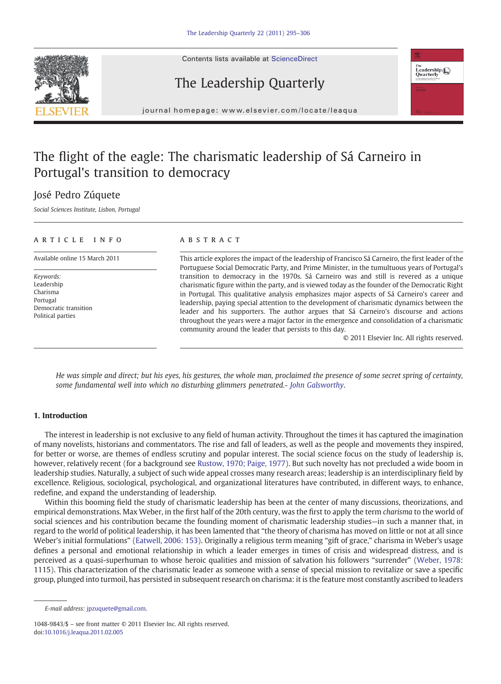Contents lists available at ScienceDirect







j o u r n a g e  $\mathbf{r}$  . We are even if  $\mathbf{r}$  is even  $\mathbf{r}$  and  $\mathbf{r}$  and  $\mathbf{r}$  and  $\mathbf{r}$  and  $\mathbf{r}$  and  $\mathbf{r}$  and  $\mathbf{r}$  and  $\mathbf{r}$  and  $\mathbf{r}$  and  $\mathbf{r}$  and  $\mathbf{r}$  and  $\mathbf{r}$  and  $\mathbf{r$ 

## The flight of the eagle: The charismatic leadership of Sá Carneiro in Portugal's transition to democracy

## José Pedro Zúquete

Social Sciences Institute, Lisbon, Portugal

### article info abstract

Keywords: Leadership Charisma Portugal Democratic transition Political parties

Available online 15 March 2011 This article explores the impact of the leadership of Francisco Sá Carneiro, the first leader of the Portuguese Social Democratic Party, and Prime Minister, in the tumultuous years of Portugal's transition to democracy in the 1970s. Sá Carneiro was and still is revered as a unique charismatic figure within the party, and is viewed today as the founder of the Democratic Right in Portugal. This qualitative analysis emphasizes major aspects of Sá Carneiro's career and leadership, paying special attention to the development of charismatic dynamics between the leader and his supporters. The author argues that Sá Carneiro's discourse and actions throughout the years were a major factor in the emergence and consolidation of a charismatic community around the leader that persists to this day.

© 2011 Elsevier Inc. All rights reserved.

He was simple and direct; but his eyes, his gestures, the whole man, proclaimed the presence of some secret spring of certainty, some fundamental well into which no disturbing glimmers penetrated.- [John Galsworthy](#page--1-0).

### 1. Introduction

The interest in leadership is not exclusive to any field of human activity. Throughout the times it has captured the imagination of many novelists, historians and commentators. The rise and fall of leaders, as well as the people and movements they inspired, for better or worse, are themes of endless scrutiny and popular interest. The social science focus on the study of leadership is, however, relatively recent (for a background see [Rustow, 1970; Paige, 1977](#page--1-0)). But such novelty has not precluded a wide boom in leadership studies. Naturally, a subject of such wide appeal crosses many research areas; leadership is an interdisciplinary field by excellence. Religious, sociological, psychological, and organizational literatures have contributed, in different ways, to enhance, redefine, and expand the understanding of leadership.

Within this booming field the study of charismatic leadership has been at the center of many discussions, theorizations, and empirical demonstrations. Max Weber, in the first half of the 20th century, was the first to apply the term charisma to the world of social sciences and his contribution became the founding moment of charismatic leadership studies—in such a manner that, in regard to the world of political leadership, it has been lamented that "the theory of charisma has moved on little or not at all since Weber's initial formulations" [\(Eatwell, 2006: 153\)](#page--1-0). Originally a religious term meaning "gift of grace," charisma in Weber's usage defines a personal and emotional relationship in which a leader emerges in times of crisis and widespread distress, and is perceived as a quasi-superhuman to whose heroic qualities and mission of salvation his followers "surrender" [\(Weber, 1978](#page--1-0): 1115). This characterization of the charismatic leader as someone with a sense of special mission to revitalize or save a specific group, plunged into turmoil, has persisted in subsequent research on charisma: it is the feature most constantly ascribed to leaders

E-mail address: [jpzuquete@gmail.com](mailto:jpzuquete@gmail.com).

<sup>1048-9843/\$</sup> – see front matter © 2011 Elsevier Inc. All rights reserved. doi[:10.1016/j.leaqua.2011.02.005](http://dx.doi.org/10.1016/j.leaqua.2011.02.005)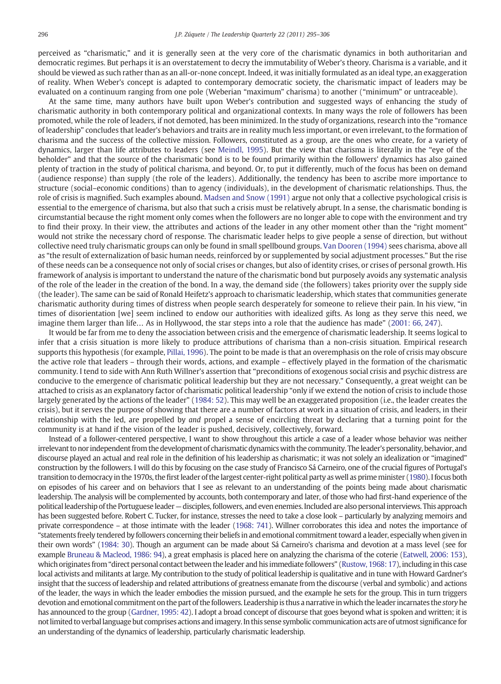perceived as "charismatic," and it is generally seen at the very core of the charismatic dynamics in both authoritarian and democratic regimes. But perhaps it is an overstatement to decry the immutability of Weber's theory. Charisma is a variable, and it should be viewed as such rather than as an all-or-none concept. Indeed, it was initially formulated as an ideal type, an exaggeration of reality. When Weber's concept is adapted to contemporary democratic society, the charismatic impact of leaders may be evaluated on a continuum ranging from one pole (Weberian "maximum" charisma) to another ("minimum" or untraceable).

At the same time, many authors have built upon Weber's contribution and suggested ways of enhancing the study of charismatic authority in both contemporary political and organizational contexts. In many ways the role of followers has been promoted, while the role of leaders, if not demoted, has been minimized. In the study of organizations, research into the "romance of leadership" concludes that leader's behaviors and traits are in reality much less important, or even irrelevant, to the formation of charisma and the success of the collective mission. Followers, constituted as a group, are the ones who create, for a variety of dynamics, larger than life attributes to leaders (see [Meindl, 1995](#page--1-0)). But the view that charisma is literally in the "eye of the beholder" and that the source of the charismatic bond is to be found primarily within the followers' dynamics has also gained plenty of traction in the study of political charisma, and beyond. Or, to put it differently, much of the focus has been on demand (audience response) than supply (the role of the leaders). Additionally, the tendency has been to ascribe more importance to structure (social–economic conditions) than to agency (individuals), in the development of charismatic relationships. Thus, the role of crisis is magnified. Such examples abound. [Madsen and Snow \(1991\)](#page--1-0) argue not only that a collective psychological crisis is essential to the emergence of charisma, but also that such a crisis must be relatively abrupt. In a sense, the charismatic bonding is circumstantial because the right moment only comes when the followers are no longer able to cope with the environment and try to find their proxy. In their view, the attributes and actions of the leader in any other moment other than the "right moment" would not strike the necessary chord of response. The charismatic leader helps to give people a sense of direction, but without collective need truly charismatic groups can only be found in small spellbound groups. [Van Dooren \(1994\)](#page--1-0) sees charisma, above all as "the result of externalization of basic human needs, reinforced by or supplemented by social adjustment processes." But the rise of these needs can be a consequence not only of social crises or changes, but also of identity crises, or crises of personal growth. His framework of analysis is important to understand the nature of the charismatic bond but purposely avoids any systematic analysis of the role of the leader in the creation of the bond. In a way, the demand side (the followers) takes priority over the supply side (the leader). The same can be said of Ronald Heifetz's approach to charismatic leadership, which states that communities generate charismatic authority during times of distress when people search desperately for someone to relieve their pain. In his view, "in times of disorientation [we] seem inclined to endow our authorities with idealized gifts. As long as they serve this need, we imagine them larger than life… As in Hollywood, the star steps into a role that the audience has made" ([2001: 66, 247](#page--1-0)).

It would be far from me to deny the association between crisis and the emergence of charismatic leadership. It seems logical to infer that a crisis situation is more likely to produce attributions of charisma than a non-crisis situation. Empirical research supports this hypothesis (for example, [Pillai, 1996\)](#page--1-0). The point to be made is that an overemphasis on the role of crisis may obscure the active role that leaders – through their words, actions, and example – effectively played in the formation of the charismatic community. I tend to side with Ann Ruth Willner's assertion that "preconditions of exogenous social crisis and psychic distress are conducive to the emergence of charismatic political leadership but they are not necessary." Consequently, a great weight can be attached to crisis as an explanatory factor of charismatic political leadership "only if we extend the notion of crisis to include those largely generated by the actions of the leader" [\(1984: 52](#page--1-0)). This may well be an exaggerated proposition (i.e., the leader creates the crisis), but it serves the purpose of showing that there are a number of factors at work in a situation of crisis, and leaders, in their relationship with the led, are propelled by and propel a sense of encircling threat by declaring that a turning point for the community is at hand if the vision of the leader is pushed, decisively, collectively, forward.

Instead of a follower-centered perspective, I want to show throughout this article a case of a leader whose behavior was neither irrelevant to nor independent from the development of charismatic dynamics with the community. The leader's personality, behavior, and discourse played an actual and real role in the definition of his leadership as charismatic; it was not solely an idealization or "imagined" construction by the followers. I will do this by focusing on the case study of Francisco Sá Carneiro, one of the crucial figures of Portugal's transition to democracy in the 1970s, thefirst leader of the largest center-right political party as well as prime minister ([1980\)](#page--1-0). I focus both on episodes of his career and on behaviors that I see as relevant to an understanding of the points being made about charismatic leadership. The analysis will be complemented by accounts, both contemporary and later, of those who had first-hand experience of the political leadership of the Portuguese leader — disciples, followers, and even enemies. Included are also personal interviews. This approach has been suggested before. Robert C. Tucker, for instance, stresses the need to take a close look – particularly by analyzing memoirs and private correspondence – at those intimate with the leader [\(1968: 741\)](#page--1-0). Willner corroborates this idea and notes the importance of "statements freely tendered by followers concerning their beliefs in and emotional commitment toward a leader, especially when given in their own words" [\(1984: 30\)](#page--1-0). Though an argument can be made about Sá Carneiro's charisma and devotion at a mass level (see for example [Bruneau & Macleod, 1986: 94\)](#page--1-0), a great emphasis is placed here on analyzing the charisma of the coterie ([Eatwell, 2006: 153](#page--1-0)), which originates from"direct personal contact between the leader and his immediate followers" [\(Rustow, 1968: 17](#page--1-0)), including in this case local activists and militants at large. My contribution to the study of political leadership is qualitative and in tune with Howard Gardner's insight that the success of leadership and related attributions of greatness emanate from the discourse (verbal and symbolic) and actions of the leader, the ways in which the leader embodies the mission pursued, and the example he sets for the group. This in turn triggers devotion and emotional commitment on the part of the followers. Leadership is thus a narrative in which the leader incarnates the story he has announced to the group ([Gardner, 1995: 42\)](#page--1-0). I adopt a broad concept of discourse that goes beyond what is spoken and written; it is notlimited to verbal language but comprises actions and imagery. In this sense symbolic communication acts are of utmost significance for an understanding of the dynamics of leadership, particularly charismatic leadership.